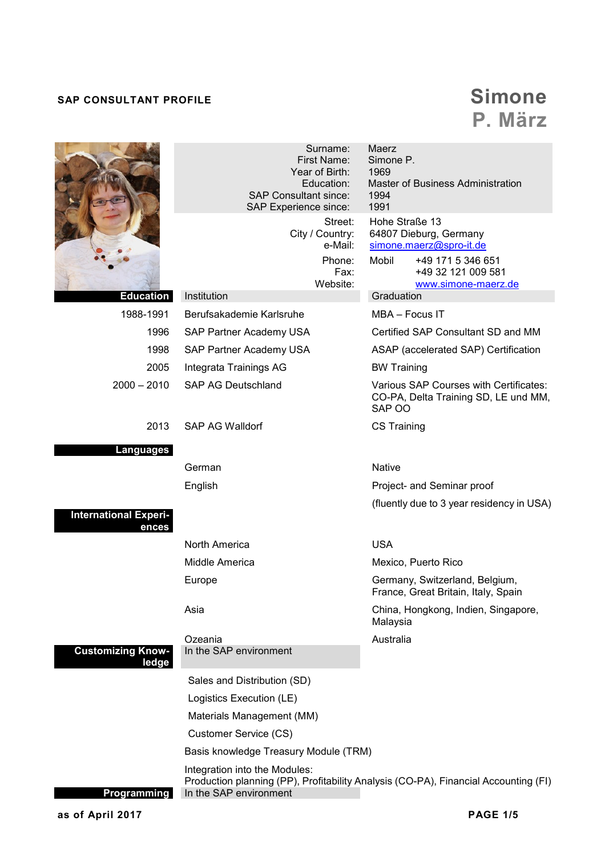## **SAP CONSULTANT PROFILE** *SAP*

## **P. März**

|                                       | Surname:<br><b>First Name:</b><br>Year of Birth:<br>Education:<br><b>SAP Consultant since:</b><br>SAP Experience since:<br>Street:<br>City / Country:<br>e-Mail:<br>Phone:<br>Fax: | Maerz<br>Simone P.<br>1969<br>Master of Business Administration<br>1994<br>1991<br>Hohe Straße 13<br>64807 Dieburg, Germany<br>simone.maerz@spro-it.de<br>Mobil<br>+49 171 5 346 651<br>+49 32 121 009 581 |  |
|---------------------------------------|------------------------------------------------------------------------------------------------------------------------------------------------------------------------------------|------------------------------------------------------------------------------------------------------------------------------------------------------------------------------------------------------------|--|
| Education                             | Website:<br>Institution                                                                                                                                                            | www.simone-maerz.de<br>Graduation                                                                                                                                                                          |  |
| 1988-1991                             | Berufsakademie Karlsruhe                                                                                                                                                           | MBA - Focus IT                                                                                                                                                                                             |  |
| 1996                                  | SAP Partner Academy USA                                                                                                                                                            | Certified SAP Consultant SD and MM                                                                                                                                                                         |  |
| 1998                                  | SAP Partner Academy USA                                                                                                                                                            | ASAP (accelerated SAP) Certification                                                                                                                                                                       |  |
| 2005                                  | Integrata Trainings AG                                                                                                                                                             | <b>BW Training</b>                                                                                                                                                                                         |  |
| $2000 - 2010$                         | <b>SAP AG Deutschland</b>                                                                                                                                                          | Various SAP Courses with Certificates:<br>CO-PA, Delta Training SD, LE und MM,<br>SAP OO                                                                                                                   |  |
| 2013                                  | SAP AG Walldorf                                                                                                                                                                    | <b>CS Training</b>                                                                                                                                                                                         |  |
| <b>Languages</b>                      |                                                                                                                                                                                    |                                                                                                                                                                                                            |  |
|                                       | German                                                                                                                                                                             | <b>Native</b>                                                                                                                                                                                              |  |
|                                       | English                                                                                                                                                                            | Project- and Seminar proof                                                                                                                                                                                 |  |
|                                       |                                                                                                                                                                                    | (fluently due to 3 year residency in USA)                                                                                                                                                                  |  |
| <b>International Experi-</b><br>ences |                                                                                                                                                                                    |                                                                                                                                                                                                            |  |
|                                       | North America                                                                                                                                                                      | <b>USA</b>                                                                                                                                                                                                 |  |
|                                       | Middle America                                                                                                                                                                     | Mexico, Puerto Rico                                                                                                                                                                                        |  |
|                                       | Europe                                                                                                                                                                             | Germany, Switzerland, Belgium,<br>France, Great Britain, Italy, Spain                                                                                                                                      |  |
|                                       | Asia                                                                                                                                                                               | China, Hongkong, Indien, Singapore,<br>Malaysia                                                                                                                                                            |  |
|                                       | Ozeania                                                                                                                                                                            | Australia                                                                                                                                                                                                  |  |
| <b>Customizing Know-</b><br>ledge     | In the SAP environment                                                                                                                                                             |                                                                                                                                                                                                            |  |
|                                       | Sales and Distribution (SD)                                                                                                                                                        |                                                                                                                                                                                                            |  |
|                                       | Logistics Execution (LE)                                                                                                                                                           |                                                                                                                                                                                                            |  |
|                                       | Materials Management (MM)                                                                                                                                                          |                                                                                                                                                                                                            |  |
|                                       | Customer Service (CS)                                                                                                                                                              |                                                                                                                                                                                                            |  |
|                                       | Basis knowledge Treasury Module (TRM)                                                                                                                                              |                                                                                                                                                                                                            |  |
| Programming                           | Integration into the Modules:<br>In the SAP environment                                                                                                                            | Production planning (PP), Profitability Analysis (CO-PA), Financial Accounting (FI)                                                                                                                        |  |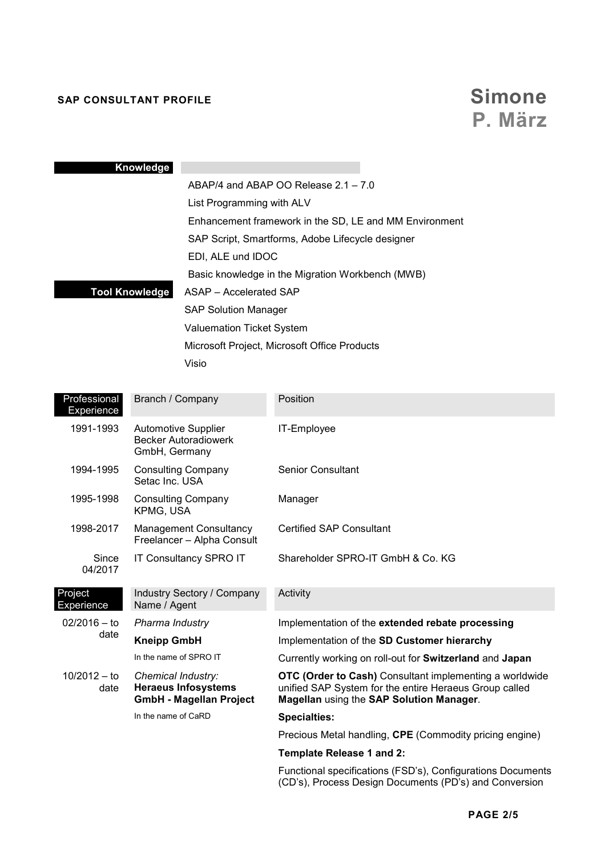## **SAP CONSULTANT PROFILE** *SAP*

# **P. März**

|                                                        | Knowledge                                                                          |                                                                                                                                                                      |  |  |
|--------------------------------------------------------|------------------------------------------------------------------------------------|----------------------------------------------------------------------------------------------------------------------------------------------------------------------|--|--|
|                                                        |                                                                                    | ABAP/4 and ABAP OO Release 2.1 - 7.0                                                                                                                                 |  |  |
|                                                        | List Programming with ALV                                                          |                                                                                                                                                                      |  |  |
|                                                        |                                                                                    | Enhancement framework in the SD, LE and MM Environment                                                                                                               |  |  |
|                                                        |                                                                                    | SAP Script, Smartforms, Adobe Lifecycle designer                                                                                                                     |  |  |
|                                                        | EDI, ALE und IDOC                                                                  |                                                                                                                                                                      |  |  |
| <b>Tool Knowledge</b><br><b>ASAP</b> – Accelerated SAP |                                                                                    | Basic knowledge in the Migration Workbench (MWB)                                                                                                                     |  |  |
|                                                        |                                                                                    |                                                                                                                                                                      |  |  |
|                                                        |                                                                                    | <b>SAP Solution Manager</b>                                                                                                                                          |  |  |
|                                                        |                                                                                    | Valuemation Ticket System                                                                                                                                            |  |  |
|                                                        |                                                                                    | Microsoft Project, Microsoft Office Products                                                                                                                         |  |  |
|                                                        | Visio                                                                              |                                                                                                                                                                      |  |  |
|                                                        |                                                                                    |                                                                                                                                                                      |  |  |
| Professional<br>Experience                             | Branch / Company                                                                   | Position                                                                                                                                                             |  |  |
| 1991-1993                                              | Automotive Supplier<br><b>Becker Autoradiowerk</b><br>GmbH, Germany                | IT-Employee                                                                                                                                                          |  |  |
| 1994-1995                                              | <b>Consulting Company</b><br>Setac Inc. USA                                        | <b>Senior Consultant</b>                                                                                                                                             |  |  |
| 1995-1998                                              | <b>Consulting Company</b><br>KPMG, USA                                             | Manager                                                                                                                                                              |  |  |
| 1998-2017                                              | Management Consultancy<br>Freelancer - Alpha Consult                               | <b>Certified SAP Consultant</b>                                                                                                                                      |  |  |
| Since<br>04/2017                                       | IT Consultancy SPRO IT                                                             | Shareholder SPRO-IT GmbH & Co. KG                                                                                                                                    |  |  |
| Project<br>Experience                                  | Industry Sectory / Company<br>Name / Agent                                         | Activity                                                                                                                                                             |  |  |
| $02/2016 - to$<br>date                                 | Pharma Industry                                                                    | Implementation of the extended rebate processing                                                                                                                     |  |  |
|                                                        | <b>Kneipp GmbH</b>                                                                 | Implementation of the SD Customer hierarchy                                                                                                                          |  |  |
|                                                        | In the name of SPRO IT                                                             | Currently working on roll-out for Switzerland and Japan                                                                                                              |  |  |
| $10/2012 - to$<br>date                                 | Chemical Industry:<br><b>Heraeus Infosystems</b><br><b>GmbH - Magellan Project</b> | <b>OTC (Order to Cash)</b> Consultant implementing a worldwide<br>unified SAP System for the entire Heraeus Group called<br>Magellan using the SAP Solution Manager. |  |  |

In the name of CaRD

### Precious Metal handling, **CPE** (Commodity pricing engine)

### **Template Release 1 and 2:**

**Specialties:** 

Functional specifications (FSD's), Configurations Documents (CD's), Process Design Documents (PD's) and Conversion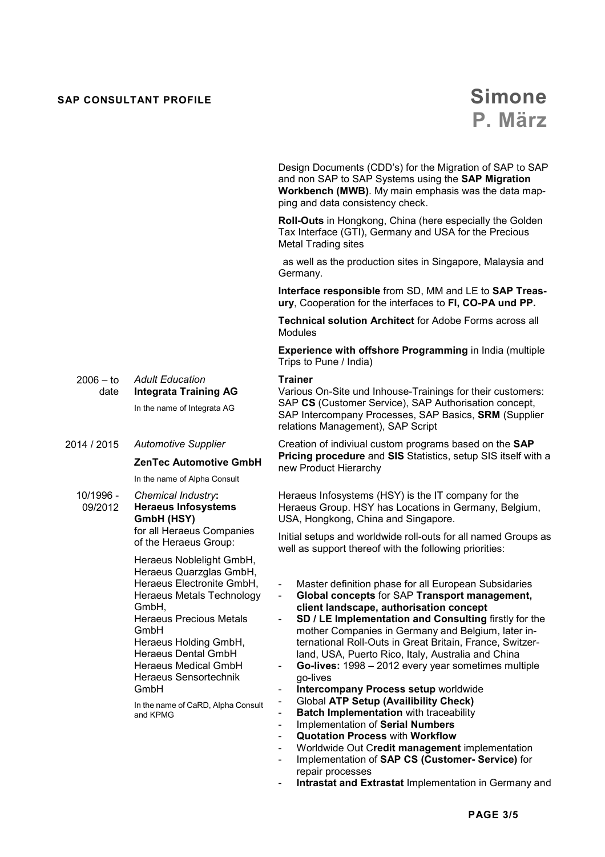## **SAP CONSULTANT PROFILE SAP CONSULTANT PROFILE**

Design Documents (CDD's) for the Migration of SAP to SAP and non SAP to SAP Systems using the **SAP Migration Workbench (MWB)**. My main emphasis was the data mapping and data consistency check.

**Roll-Outs** in Hongkong, China (here especially the Golden Tax Interface (GTI), Germany and USA for the Precious Metal Trading sites

 as well as the production sites in Singapore, Malaysia and Germany.

**Interface responsible** from SD, MM and LE to **SAP Treasury**, Cooperation for the interfaces to **FI, CO-PA und PP.** 

**Technical solution Architect** for Adobe Forms across all Modules

**Experience with offshore Programming** in India (multiple Trips to Pune / India)

#### **Trainer**

Various On-Site und Inhouse-Trainings for their customers: SAP **CS** (Customer Service), SAP Authorisation concept, SAP Intercompany Processes, SAP Basics, **SRM** (Supplier relations Management), SAP Script

Creation of indiviual custom programs based on the **SAP Pricing procedure** and **SIS** Statistics, setup SIS itself with a new Product Hierarchy

Heraeus Infosystems (HSY) is the IT company for the Heraeus Group. HSY has Locations in Germany, Belgium, USA, Hongkong, China and Singapore.

Initial setups and worldwide roll-outs for all named Groups as well as support thereof with the following priorities:

- Master definition phase for all European Subsidaries
- **Global concepts** for SAP **Transport management, client landscape, authorisation concept**
- **SD / LE Implementation and Consulting firstly for the** mother Companies in Germany and Belgium, later international Roll-Outs in Great Britain, France, Switzerland, USA, Puerto Rico, Italy, Australia and China
- Go-lives: 1998 2012 every year sometimes multiple go-lives
- **Intercompany Process setup** worldwide
- Global **ATP Setup (Availibility Check)**
- **Batch Implementation** with traceability
- Implementation of **Serial Numbers**
- **Quotation Process** with **Workflow**
- Worldwide Out C**redit management** implementation
- Implementation of **SAP CS (Customer- Service)** for repair processes
- **Intrastat and Extrastat Implementation in Germany and**

 $2006 - to$ date *Adult Education* **Integrata Training AG** 

In the name of Integrata AG

#### 2014 / 2015 *Automotive Supplier*

**ZenTec Automotive GmbH**

In the name of Alpha Consult

10/1996 - 09/2012 *Chemical Industry***: Heraeus Infosystems GmbH (HSY)**

for all Heraeus Companies of the Heraeus Group:

Heraeus Noblelight GmbH, Heraeus Quarzglas GmbH, Heraeus Electronite GmbH, Heraeus Metals Technology GmbH, Heraeus Precious Metals GmbH Heraeus Holding GmbH, Heraeus Dental GmbH Heraeus Medical GmbH Heraeus Sensortechnik GmbH In the name of CaRD, Alpha Consult

and KPMG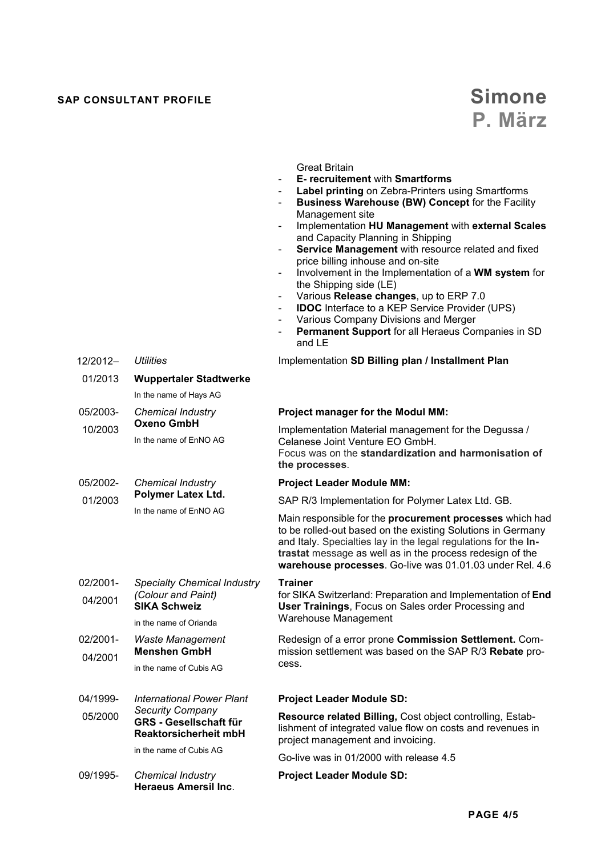## **SAP CONSULTANT PROFILE** *SAP*

12/2012– 01/2013

*Utilities* 

**Wuppertaler Stadtwerke** 

In the name of Hays AG

# **P. März**

#### Great Britain

- **E- recruitement** with **Smartforms**
- Label printing on Zebra-Printers using Smartforms
- **Business Warehouse (BW) Concept** for the Facility Management site
- Implementation **HU Management** with **external Scales**  and Capacity Planning in Shipping
- **Service Management** with resource related and fixed price billing inhouse and on-site
- Involvement in the Implementation of a **WM system** for the Shipping side (LE)
- Various **Release changes**, up to ERP 7.0
- **IDOC** Interface to a KEP Service Provider (UPS)
- Various Company Divisions and Merger
- **Permanent Support** for all Heraeus Companies in SD and LE

Implementation **SD Billing plan / Installment Plan**

| 05/2003-                                                                       | <b>Chemical Industry</b>                                                                                                                                | <b>Project manager for the Modul MM:</b>                                                                                                                                                                                                                                                                            |
|--------------------------------------------------------------------------------|---------------------------------------------------------------------------------------------------------------------------------------------------------|---------------------------------------------------------------------------------------------------------------------------------------------------------------------------------------------------------------------------------------------------------------------------------------------------------------------|
| 10/2003                                                                        | Oxeno GmbH<br>In the name of EnNO AG                                                                                                                    | Implementation Material management for the Degussa /<br>Celanese Joint Venture EO GmbH.<br>Focus was on the standardization and harmonisation of<br>the processes.                                                                                                                                                  |
| 05/2002-                                                                       | <b>Chemical Industry</b><br>Polymer Latex Ltd.<br>In the name of EnNO AG                                                                                | <b>Project Leader Module MM:</b>                                                                                                                                                                                                                                                                                    |
| 01/2003                                                                        |                                                                                                                                                         | SAP R/3 Implementation for Polymer Latex Ltd. GB.                                                                                                                                                                                                                                                                   |
|                                                                                |                                                                                                                                                         | Main responsible for the procurement processes which had<br>to be rolled-out based on the existing Solutions in Germany<br>and Italy. Specialties lay in the legal regulations for the In-<br>trastat message as well as in the process redesign of the<br>warehouse processes. Go-live was 01.01.03 under Rel. 4.6 |
| 02/2001-                                                                       | <b>Specialty Chemical Industry</b>                                                                                                                      | <b>Trainer</b>                                                                                                                                                                                                                                                                                                      |
| (Colour and Paint)<br>04/2001<br><b>SIKA Schweiz</b><br>in the name of Orianda | for SIKA Switzerland: Preparation and Implementation of End<br>User Trainings, Focus on Sales order Processing and                                      |                                                                                                                                                                                                                                                                                                                     |
|                                                                                |                                                                                                                                                         | Warehouse Management                                                                                                                                                                                                                                                                                                |
| 02/2001-<br>04/2001                                                            | <b>Waste Management</b><br><b>Menshen GmbH</b>                                                                                                          | Redesign of a error prone Commission Settlement. Com-<br>mission settlement was based on the SAP R/3 Rebate pro-                                                                                                                                                                                                    |
|                                                                                | in the name of Cubis AG                                                                                                                                 | cess.                                                                                                                                                                                                                                                                                                               |
| 04/1999-                                                                       | <b>International Power Plant</b><br><b>Security Company</b><br><b>GRS - Gesellschaft für</b><br><b>Reaktorsicherheit mbH</b><br>in the name of Cubis AG | <b>Project Leader Module SD:</b>                                                                                                                                                                                                                                                                                    |
| 05/2000                                                                        |                                                                                                                                                         | Resource related Billing, Cost object controlling, Estab-<br>lishment of integrated value flow on costs and revenues in<br>project management and invoicing.                                                                                                                                                        |
|                                                                                |                                                                                                                                                         | Go-live was in 01/2000 with release 4.5                                                                                                                                                                                                                                                                             |
| 09/1995-                                                                       | <b>Chemical Industry</b><br><b>Heraeus Amersil Inc.</b>                                                                                                 | <b>Project Leader Module SD:</b>                                                                                                                                                                                                                                                                                    |